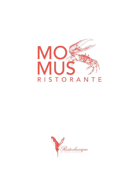

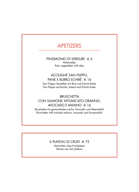# APETIZERS

PINZIMONIO DI VERDURE  $\in$  6 Rohkostdip Raw vegetables with dips

## ACCIUGHE SAN FILIPPO, PANE E BURRO ECHIRÈ  $\in$  16

San Filippo Sardellen mit Brot und Echirè Butter San filippo anchovies, bread and Echirè butter

## **BRUSCHETTA** CON SALMONE AFFUMICATO ORAKING, AVOCADO E RAFANO  $\in$  16

Bruschetta mit geräuchertem Lachs, Avocado und Meerrettich Bruschetta with smoked salmon, avocado and horseradish

## IL PLATEAU DI CRUDI  $\in$  75

Gemischtes rohes Fischplateau Mixed raw fish plateau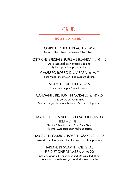## **CRUDI**

SECONDO DISPONIBILITÀ

# OSTRICHE "UTAH" BEACH 1 PZ  $\in$  4

Austern "Utah" Beach - Oysters "Utah" Beach

OSTRICHE SPECIALS SUPREME IRLANDA 1 PZ  $\in$  4.5 Austernspezialitäten Supreme ireland

Oysters specials supreme ireland

#### GAMBERO ROSSO DI MAZARA 1 PZ  $\in$  5 Rote Mazara-Garnelen - Red Mazara shrimp

SCAMPI PORCUPIN 1 PZ  $\in$  5 Porcupin-Scampi - Porcupin scampi

CAPESANTE BRETONI IN CORALLO 1PZ  $\in$  4.5 SECONDO DISPONIBILITÀ Bretonische Jakobsmuschelkoralle - Breton scallops coral

### TARTARE DI TONNO ROSSO MEDITERRANEO "IKEJIME"  $\in$  15

"Ikejime" Mediterraner Roter Thun Tatar "Ikejime" Mediterranean red tuna tartare

TARTARE DI GAMBERI ROSSI DI MAZARA € 17 Rote Mazara-Garnelen Tatar - Red Mazara shrimp tartare

## TARTARE DI SCAMPI, FOIE GRAS E RIDUZIONE DI MARSALA  $\in$  20

Scampi-Tartar mit Gänseleber und Marsala-Reduktion Scampi tartare with foie gras and Marsala reduction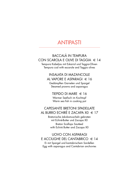## **ANTIPASTI**

## **BACCALÀ IN TEMPURA** CON SCAROLA E OLIVE DI TAGGIA  $\in$  14

Tempura Kabeljau mit Eskariol und Taggia-Oliven Tempura cod with escarole and Taggia olives

#### **INSALATA DI MAZANCOLLE** AL VAPORE E ASPARAGI € 16

Gedämpften Garnelen und Spargel Steamed prawns and asparagus

### TIEPIDO DI MARE  $\in$  16

Warmer Seefisch im Kochtopf Warm sea fish in cooking pot

## **CAPESANTE BRETONI SPADELLATE** AL BURRO ECHIRÈ E ZACAPA X0  $\in$  17

Bretonische Jakobsmuscheln gebraten mit Echirè-Butter und Zacapa X0 **Breton Scallops Sautéed** with Echirè Butter and Zacapa XO

## **UOVO CON ASPARAGI** E ACCIUGHE DEL CANTABRICO  $\in$  14

Ei mit Spargel und kantabrischem Sardellen Egg with asparagus and Cantabrian anchovies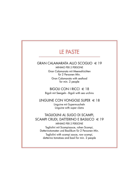# LE PASTE

#### GRAN CALAMARATA ALLO SCOGLIO  $\in$  19

MINIMO PER 2 PERSONE Gran Calamarata mit Meeresfrüchten für 2 Personen Min. Gran Calamarata with seafood for min. 2 people

#### BIGOLI CON I RICCI  $\in$  18 Bigoli mit Seeigeln - Bigoli with sea urchins

## LINGUINE CON VONGOLE SUPER  $\in$  18

Linguine mit Supermuscheln Linguine with super clams

## TAGLIOLINI AL SUGO DI SCAMPI, SCAMPI CRUDI, DATTERINO E BASILICO  $\in$  19 MINIMO PER 2 PERSONE

Tagliolini mit Scampisauce, rohen Scampi, Datterinotomaten und Basilikum für 2 Personen Min.

Tagliolini with scampi sauce, raw scampi, datterino tomatoes and basil for min. 2 people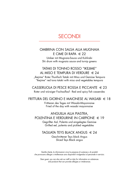## SECONDI

#### OMBRINA CON SALSA ALLA MUGNAIA E CIME DI RAPA  $\in$  22

Umber mit Mugnaia-Sauce und Kohlrabi Shi drum with mugnaia sauce and turnip greens

### TATAKI DI TONNO ROSSO "IKEJIME" AL MISO E TEMPURA DI VERDURE  $\in$  24

"Ikejime" Roter Thunfisch Tataki mit Miso und Gemüse Tempura "Ikejime" red tuna tataki with miso and vegetables tempura

CASSERUOLA DI PESCE ROSSA E PICCANTE  $\in$  23 Roter und würziger Fischauflauf - Red and spicy fish casseroles

#### FRITTURA DEL GIORNO E MAIONESE AL WASABI  $\in$  18

Frittieren des Tages mit Wasabi-Mayonnaise Fried of the day with wasabi mayonnaise

## ANGUILLA ALLA PIASTRA,

POLENTINA E VERDURINE IN CARPIONE  $\in$  19

Gegrillter Aal, Polenta und eingelegtes Gemüse Grilled eel, polenta and pickled vegetables

#### TAGLIATA TEYS BLACK ANGUS  $\in$  24

Geschnittener Teys black Angus Sliced Teys Black angus

Gentile cliente, le informazioni circa la presenza di sostanze o di prodotti che provocano allergie o intolleranze sono disponibili rivolgendosi al personale in servizio.

Dear guest, you can also ask our staff on duty for information on substances and products that can provoke allergies or intolerances.